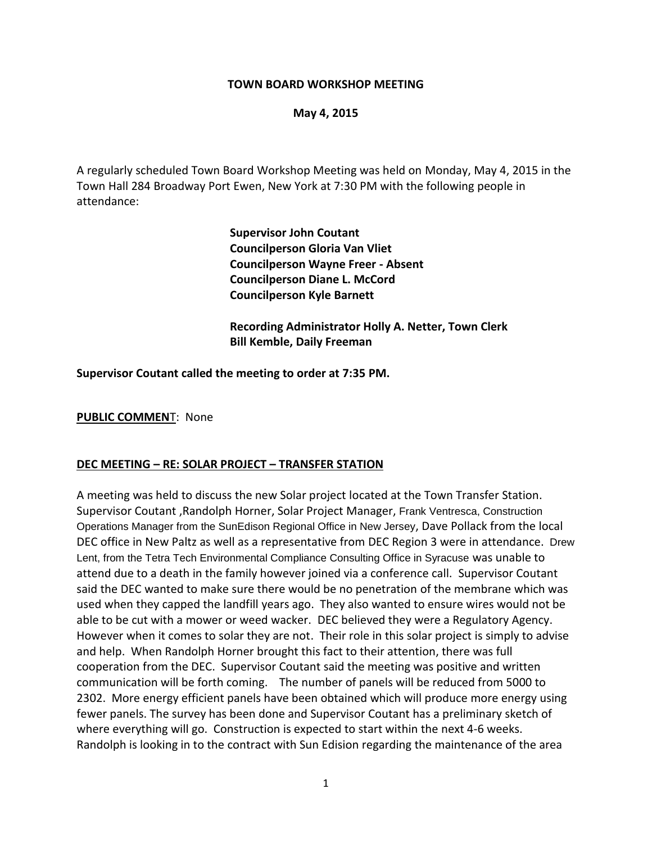#### **TOWN BOARD WORKSHOP MEETING**

#### **May 4, 2015**

A regularly scheduled Town Board Workshop Meeting was held on Monday, May 4, 2015 in the Town Hall 284 Broadway Port Ewen, New York at 7:30 PM with the following people in attendance:

> **Supervisor John Coutant Councilperson Gloria Van Vliet Councilperson Wayne Freer - Absent Councilperson Diane L. McCord Councilperson Kyle Barnett**

**Recording Administrator Holly A. Netter, Town Clerk Bill Kemble, Daily Freeman**

**Supervisor Coutant called the meeting to order at 7:35 PM.**

**PUBLIC COMMEN**T: None

#### **DEC MEETING – RE: SOLAR PROJECT – TRANSFER STATION**

A meeting was held to discuss the new Solar project located at the Town Transfer Station. Supervisor Coutant ,Randolph Horner, Solar Project Manager, Frank Ventresca, Construction Operations Manager from the SunEdison Regional Office in New Jersey, Dave Pollack from the local DEC office in New Paltz as well as a representative from DEC Region 3 were in attendance. Drew Lent, from the Tetra Tech Environmental Compliance Consulting Office in Syracuse was unable to attend due to a death in the family however joined via a conference call. Supervisor Coutant said the DEC wanted to make sure there would be no penetration of the membrane which was used when they capped the landfill years ago. They also wanted to ensure wires would not be able to be cut with a mower or weed wacker. DEC believed they were a Regulatory Agency. However when it comes to solar they are not. Their role in this solar project is simply to advise and help. When Randolph Horner brought this fact to their attention, there was full cooperation from the DEC. Supervisor Coutant said the meeting was positive and written communication will be forth coming. The number of panels will be reduced from 5000 to 2302. More energy efficient panels have been obtained which will produce more energy using fewer panels. The survey has been done and Supervisor Coutant has a preliminary sketch of where everything will go. Construction is expected to start within the next 4-6 weeks. Randolph is looking in to the contract with Sun Edision regarding the maintenance of the area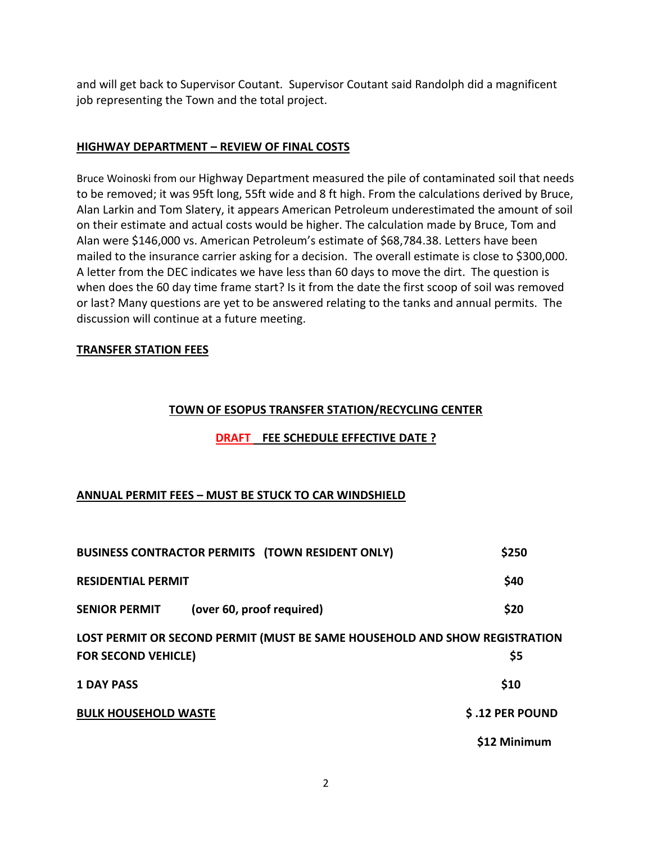and will get back to Supervisor Coutant. Supervisor Coutant said Randolph did a magnificent job representing the Town and the total project.

## **HIGHWAY DEPARTMENT – REVIEW OF FINAL COSTS**

Bruce Woinoski from our Highway Department measured the pile of contaminated soil that needs to be removed; it was 95ft long, 55ft wide and 8 ft high. From the calculations derived by Bruce, Alan Larkin and Tom Slatery, it appears American Petroleum underestimated the amount of soil on their estimate and actual costs would be higher. The calculation made by Bruce, Tom and Alan were \$146,000 vs. American Petroleum's estimate of \$68,784.38. Letters have been mailed to the insurance carrier asking for a decision. The overall estimate is close to \$300,000. A letter from the DEC indicates we have less than 60 days to move the dirt. The question is when does the 60 day time frame start? Is it from the date the first scoop of soil was removed or last? Many questions are yet to be answered relating to the tanks and annual permits. The discussion will continue at a future meeting.

### **TRANSFER STATION FEES**

### **TOWN OF ESOPUS TRANSFER STATION/RECYCLING CENTER**

## **DRAFT FEE SCHEDULE EFFECTIVE DATE ?**

## **ANNUAL PERMIT FEES – MUST BE STUCK TO CAR WINDSHIELD**

| <b>BUSINESS CONTRACTOR PERMITS (TOWN RESIDENT ONLY)</b>                    | \$250           |
|----------------------------------------------------------------------------|-----------------|
| <b>RESIDENTIAL PERMIT</b>                                                  | \$40            |
| <b>SENIOR PERMIT</b><br>(over 60, proof required)                          | \$20            |
| LOST PERMIT OR SECOND PERMIT (MUST BE SAME HOUSEHOLD AND SHOW REGISTRATION |                 |
| <b>FOR SECOND VEHICLE)</b>                                                 | \$5             |
| <b>1 DAY PASS</b>                                                          | \$10            |
| <b>BULK HOUSEHOLD WASTE</b>                                                | \$.12 PER POUND |
|                                                                            | \$12 Minimum    |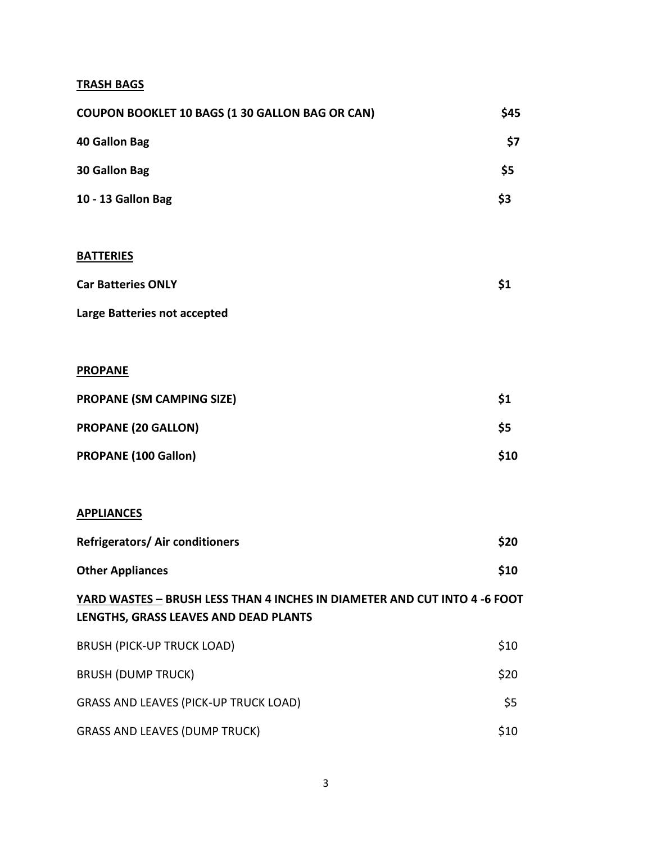# **TRASH BAGS**

| COUPON BOOKLET 10 BAGS (1 30 GALLON BAG OR CAN)                                                                    | \$45 |
|--------------------------------------------------------------------------------------------------------------------|------|
| <b>40 Gallon Bag</b>                                                                                               | \$7  |
| 30 Gallon Bag                                                                                                      | \$5  |
| 10 - 13 Gallon Bag                                                                                                 | \$3  |
|                                                                                                                    |      |
| <b>BATTERIES</b>                                                                                                   |      |
| <b>Car Batteries ONLY</b>                                                                                          | \$1  |
| Large Batteries not accepted                                                                                       |      |
|                                                                                                                    |      |
| <b>PROPANE</b>                                                                                                     |      |
| <b>PROPANE (SM CAMPING SIZE)</b>                                                                                   | \$1  |
| <b>PROPANE (20 GALLON)</b>                                                                                         | \$5  |
| <b>PROPANE (100 Gallon)</b>                                                                                        | \$10 |
|                                                                                                                    |      |
| <b>APPLIANCES</b>                                                                                                  |      |
| <b>Refrigerators/ Air conditioners</b>                                                                             | \$20 |
| <b>Other Appliances</b>                                                                                            | \$10 |
| YARD WASTES - BRUSH LESS THAN 4 INCHES IN DIAMETER AND CUT INTO 4 -6 FOOT<br>LENGTHS, GRASS LEAVES AND DEAD PLANTS |      |
| <b>BRUSH (PICK-UP TRUCK LOAD)</b>                                                                                  | \$10 |
| <b>BRUSH (DUMP TRUCK)</b>                                                                                          | \$20 |
| <b>GRASS AND LEAVES (PICK-UP TRUCK LOAD)</b>                                                                       | \$5  |
| <b>GRASS AND LEAVES (DUMP TRUCK)</b>                                                                               | \$10 |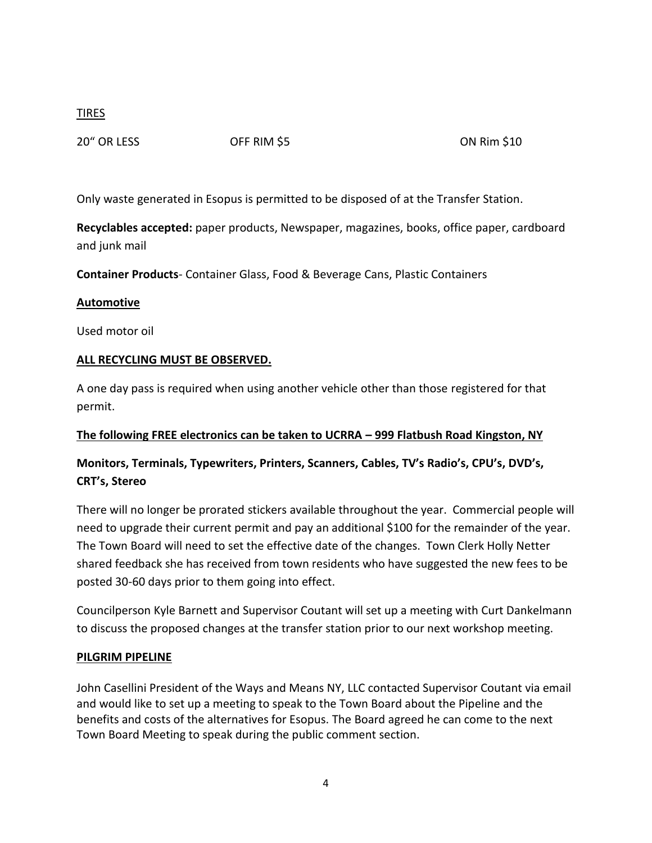## TIRES

20" OR LESS OFF RIM \$5 ON Rim \$10

Only waste generated in Esopus is permitted to be disposed of at the Transfer Station.

**Recyclables accepted:** paper products, Newspaper, magazines, books, office paper, cardboard and junk mail

**Container Products**- Container Glass, Food & Beverage Cans, Plastic Containers

### **Automotive**

Used motor oil

### **ALL RECYCLING MUST BE OBSERVED.**

A one day pass is required when using another vehicle other than those registered for that permit.

## **The following FREE electronics can be taken to UCRRA – 999 Flatbush Road Kingston, NY**

# **Monitors, Terminals, Typewriters, Printers, Scanners, Cables, TV's Radio's, CPU's, DVD's, CRT's, Stereo**

There will no longer be prorated stickers available throughout the year. Commercial people will need to upgrade their current permit and pay an additional \$100 for the remainder of the year. The Town Board will need to set the effective date of the changes. Town Clerk Holly Netter shared feedback she has received from town residents who have suggested the new fees to be posted 30-60 days prior to them going into effect.

Councilperson Kyle Barnett and Supervisor Coutant will set up a meeting with Curt Dankelmann to discuss the proposed changes at the transfer station prior to our next workshop meeting.

### **PILGRIM PIPELINE**

John Casellini President of the Ways and Means NY, LLC contacted Supervisor Coutant via email and would like to set up a meeting to speak to the Town Board about the Pipeline and the benefits and costs of the alternatives for Esopus. The Board agreed he can come to the next Town Board Meeting to speak during the public comment section.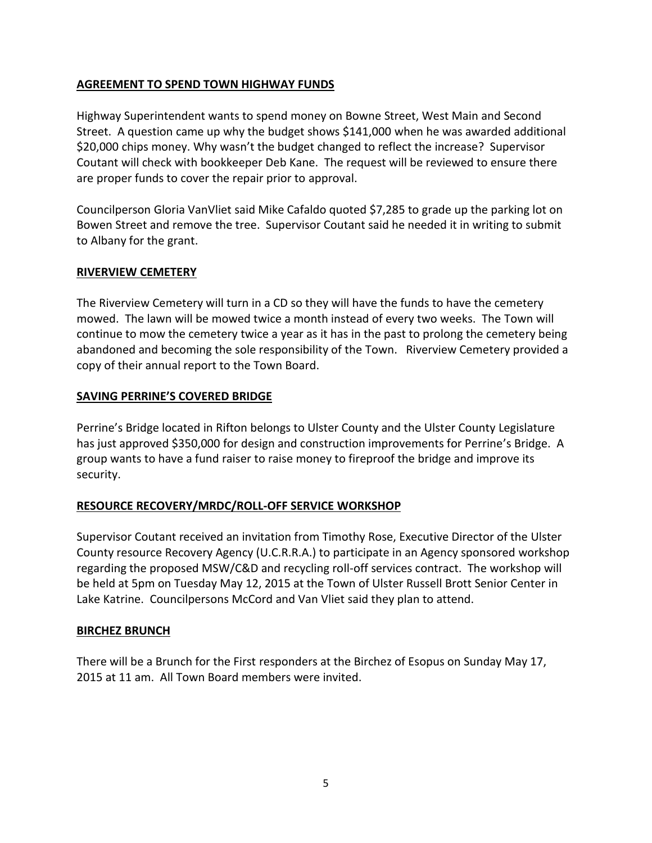### **AGREEMENT TO SPEND TOWN HIGHWAY FUNDS**

Highway Superintendent wants to spend money on Bowne Street, West Main and Second Street. A question came up why the budget shows \$141,000 when he was awarded additional \$20,000 chips money. Why wasn't the budget changed to reflect the increase? Supervisor Coutant will check with bookkeeper Deb Kane. The request will be reviewed to ensure there are proper funds to cover the repair prior to approval.

Councilperson Gloria VanVliet said Mike Cafaldo quoted \$7,285 to grade up the parking lot on Bowen Street and remove the tree. Supervisor Coutant said he needed it in writing to submit to Albany for the grant.

### **RIVERVIEW CEMETERY**

The Riverview Cemetery will turn in a CD so they will have the funds to have the cemetery mowed. The lawn will be mowed twice a month instead of every two weeks. The Town will continue to mow the cemetery twice a year as it has in the past to prolong the cemetery being abandoned and becoming the sole responsibility of the Town. Riverview Cemetery provided a copy of their annual report to the Town Board.

### **SAVING PERRINE'S COVERED BRIDGE**

Perrine's Bridge located in Rifton belongs to Ulster County and the Ulster County Legislature has just approved \$350,000 for design and construction improvements for Perrine's Bridge. A group wants to have a fund raiser to raise money to fireproof the bridge and improve its security.

## **RESOURCE RECOVERY/MRDC/ROLL-OFF SERVICE WORKSHOP**

Supervisor Coutant received an invitation from Timothy Rose, Executive Director of the Ulster County resource Recovery Agency (U.C.R.R.A.) to participate in an Agency sponsored workshop regarding the proposed MSW/C&D and recycling roll-off services contract. The workshop will be held at 5pm on Tuesday May 12, 2015 at the Town of Ulster Russell Brott Senior Center in Lake Katrine. Councilpersons McCord and Van Vliet said they plan to attend.

### **BIRCHEZ BRUNCH**

There will be a Brunch for the First responders at the Birchez of Esopus on Sunday May 17, 2015 at 11 am. All Town Board members were invited.